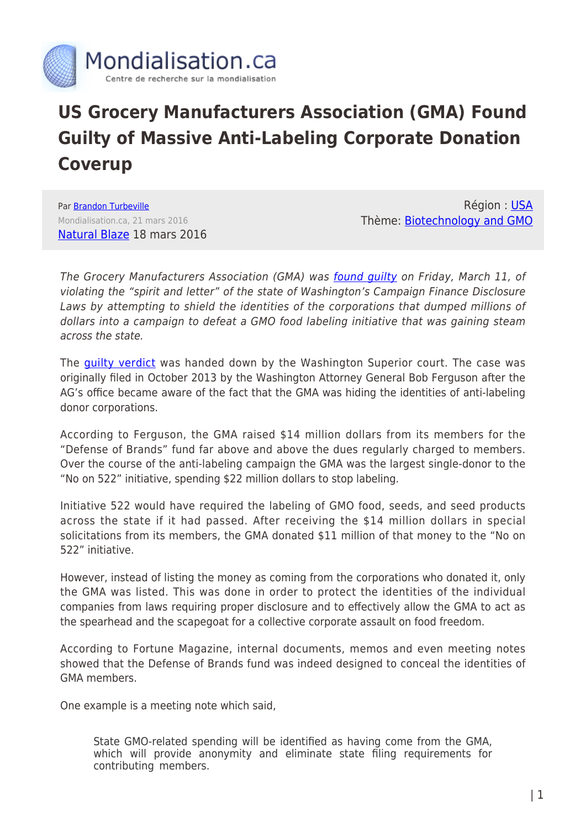

## **US Grocery Manufacturers Association (GMA) Found Guilty of Massive Anti-Labeling Corporate Donation Coverup**

Par [Brandon Turbeville](https://www.mondialisation.ca/author/brandon-turbeville) Mondialisation.ca, 21 mars 2016 [Natural Blaze](http://www.naturalblaze.com/2016/03/gma-found-guilty-of-massive-anti-labeling-corporate-donation-coverup.html) 18 mars 2016

Région : [USA](https://www.mondialisation.ca/region/usa) Thème: [Biotechnology and GMO](https://www.mondialisation.ca/theme/biotechnology-and-gmo)

The Grocery Manufacturers Association (GMA) was found quilty on Friday, March 11, of violating the "spirit and letter" of the state of Washington's Campaign Finance Disclosure Laws by attempting to shield the identities of the corporations that dumped millions of dollars into a campaign to defeat a GMO food labeling initiative that was gaining steam across the state.

The [guilty verdict](http://fortune.com/2016/03/13/big-food-illegally-hid-funders-of-campaign-to-kill-gmo-labeling-effort-judge-rules/) was handed down by the Washington Superior court. The case was originally filed in October 2013 by the Washington Attorney General Bob Ferguson after the AG's office became aware of the fact that the GMA was hiding the identities of anti-labeling donor corporations.

According to Ferguson, the GMA raised \$14 million dollars from its members for the "Defense of Brands" fund far above and above the dues regularly charged to members. Over the course of the anti-labeling campaign the GMA was the largest single-donor to the "No on 522" initiative, spending \$22 million dollars to stop labeling.

Initiative 522 would have required the labeling of GMO food, seeds, and seed products across the state if it had passed. After receiving the \$14 million dollars in special solicitations from its members, the GMA donated \$11 million of that money to the "No on 522" initiative.

However, instead of listing the money as coming from the corporations who donated it, only the GMA was listed. This was done in order to protect the identities of the individual companies from laws requiring proper disclosure and to effectively allow the GMA to act as the spearhead and the scapegoat for a collective corporate assault on food freedom.

According to Fortune Magazine, internal documents, memos and even meeting notes showed that the Defense of Brands fund was indeed designed to conceal the identities of GMA members.

One example is a meeting note which said,

State GMO-related spending will be identified as having come from the GMA, which will provide anonymity and eliminate state filing requirements for contributing members.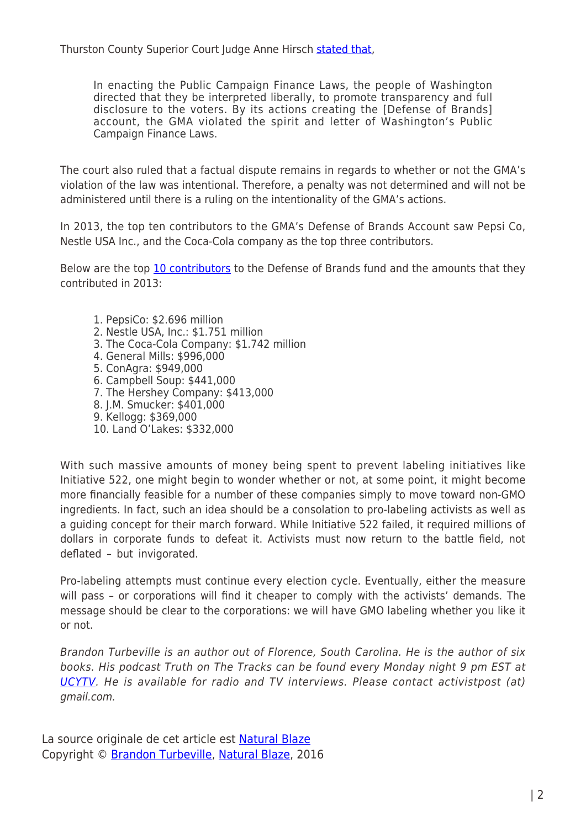Thurston County Superior Court Judge Anne Hirsch [stated that,](http://sputniknews.com/us/20160316/1036362847/Worlds-Largest-Food-Trader-Found-Guilty-Multimillion-Cover-up.html)

In enacting the Public Campaign Finance Laws, the people of Washington directed that they be interpreted liberally, to promote transparency and full disclosure to the voters. By its actions creating the [Defense of Brands] account, the GMA violated the spirit and letter of Washington's Public Campaign Finance Laws.

The court also ruled that a factual dispute remains in regards to whether or not the GMA's violation of the law was intentional. Therefore, a penalty was not determined and will not be administered until there is a ruling on the intentionality of the GMA's actions.

In 2013, the top ten contributors to the GMA's Defense of Brands Account saw Pepsi Co, Nestle USA Inc., and the Coca-Cola company as the top three contributors.

Below are the top [10 contributors](http://www.truth-out.org/buzzflash/commentary/big-food-found-guilty-in-multimillion-dollar-cover-up-in-gmo-labeling-fight) to the Defense of Brands fund and the amounts that they contributed in 2013:

1. PepsiCo: \$2.696 million 2. Nestle USA, Inc.: \$1.751 million 3. The Coca-Cola Company: \$1.742 million 4. General Mills: \$996,000 5. ConAgra: \$949,000 6. Campbell Soup: \$441,000 7. The Hershey Company: \$413,000 8. J.M. Smucker: \$401,000 9. Kellogg: \$369,000 10. Land O'Lakes: \$332,000

With such massive amounts of money being spent to prevent labeling initiatives like Initiative 522, one might begin to wonder whether or not, at some point, it might become more financially feasible for a number of these companies simply to move toward non-GMO ingredients. In fact, such an idea should be a consolation to pro-labeling activists as well as a guiding concept for their march forward. While Initiative 522 failed, it required millions of dollars in corporate funds to defeat it. Activists must now return to the battle field, not deflated – but invigorated.

Pro-labeling attempts must continue every election cycle. Eventually, either the measure will pass – or corporations will find it cheaper to comply with the activists' demands. The message should be clear to the corporations: we will have GMO labeling whether you like it or not.

Brandon Turbeville is an author out of Florence, South Carolina. He is the author of six books. His podcast Truth on The Tracks can be found every Monday night 9 pm EST at [UCYTV](http://ucy.tv/TT). He is available for radio and TV interviews. Please contact activistpost (at) gmail.com.

La source originale de cet article est [Natural Blaze](http://www.naturalblaze.com/2016/03/gma-found-guilty-of-massive-anti-labeling-corporate-donation-coverup.html) Copyright © [Brandon Turbeville](https://www.mondialisation.ca/author/brandon-turbeville), [Natural Blaze,](http://www.naturalblaze.com/2016/03/gma-found-guilty-of-massive-anti-labeling-corporate-donation-coverup.html) 2016